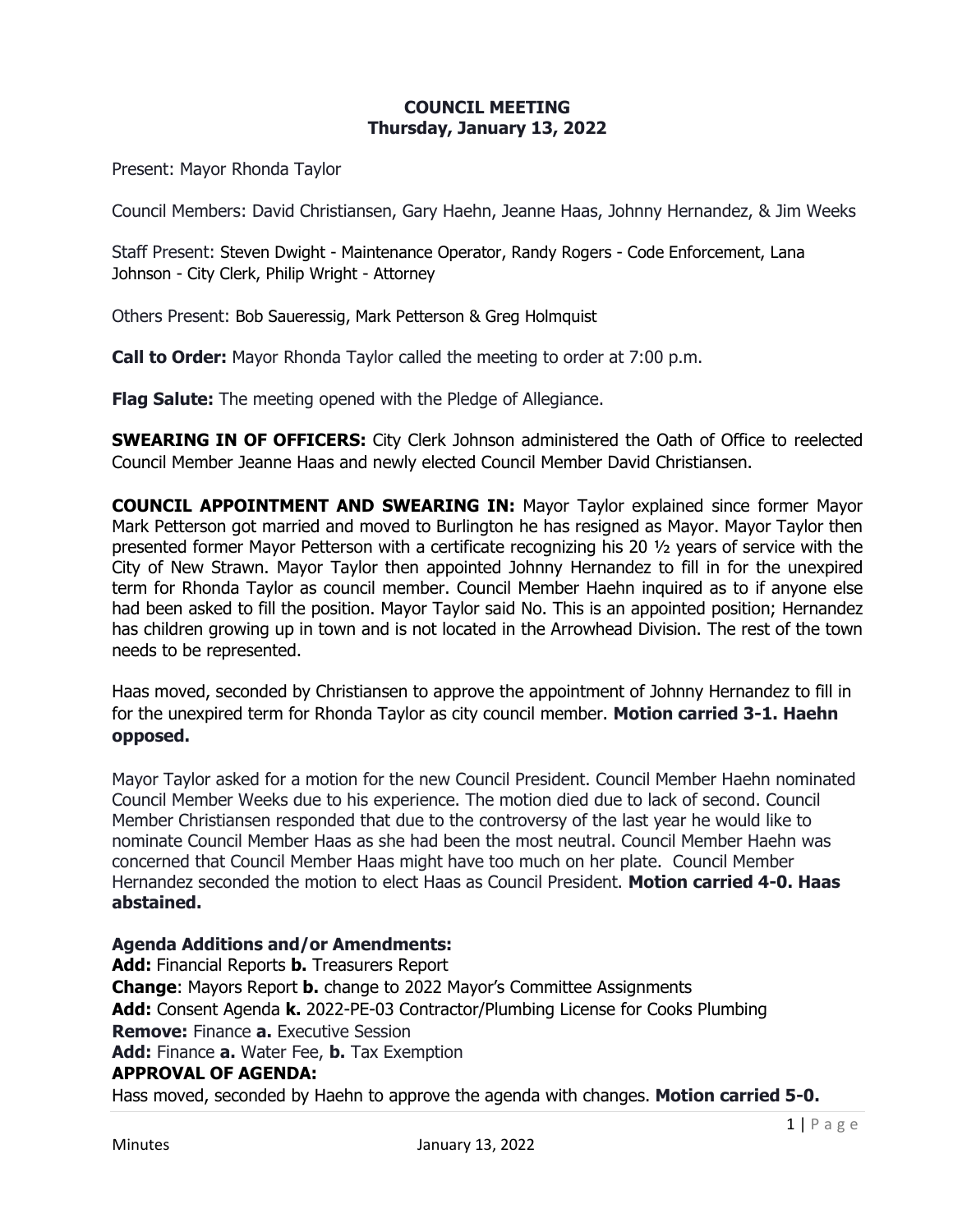## **COUNCIL MEETING Thursday, January 13, 2022**

Present: Mayor Rhonda Taylor

Council Members: David Christiansen, Gary Haehn, Jeanne Haas, Johnny Hernandez, & Jim Weeks

Staff Present: Steven Dwight - Maintenance Operator, Randy Rogers - Code Enforcement, Lana Johnson - City Clerk, Philip Wright - Attorney

Others Present: Bob Saueressig, Mark Petterson & Greg Holmquist

**Call to Order:** Mayor Rhonda Taylor called the meeting to order at 7:00 p.m.

**Flag Salute:** The meeting opened with the Pledge of Allegiance.

**SWEARING IN OF OFFICERS:** City Clerk Johnson administered the Oath of Office to reelected Council Member Jeanne Haas and newly elected Council Member David Christiansen.

**COUNCIL APPOINTMENT AND SWEARING IN:** Mayor Taylor explained since former Mayor Mark Petterson got married and moved to Burlington he has resigned as Mayor. Mayor Taylor then presented former Mayor Petterson with a certificate recognizing his 20 ½ years of service with the City of New Strawn. Mayor Taylor then appointed Johnny Hernandez to fill in for the unexpired term for Rhonda Taylor as council member. Council Member Haehn inquired as to if anyone else had been asked to fill the position. Mayor Taylor said No. This is an appointed position; Hernandez has children growing up in town and is not located in the Arrowhead Division. The rest of the town needs to be represented.

Haas moved, seconded by Christiansen to approve the appointment of Johnny Hernandez to fill in for the unexpired term for Rhonda Taylor as city council member. **Motion carried 3-1. Haehn opposed.**

Mayor Taylor asked for a motion for the new Council President. Council Member Haehn nominated Council Member Weeks due to his experience. The motion died due to lack of second. Council Member Christiansen responded that due to the controversy of the last year he would like to nominate Council Member Haas as she had been the most neutral. Council Member Haehn was concerned that Council Member Haas might have too much on her plate. Council Member Hernandez seconded the motion to elect Haas as Council President. **Motion carried 4-0. Haas abstained.**

#### **Agenda Additions and/or Amendments:**

**Add:** Financial Reports **b.** Treasurers Report **Change**: Mayors Report **b.** change to 2022 Mayor's Committee Assignments **Add:** Consent Agenda **k.** 2022-PE-03 Contractor/Plumbing License for Cooks Plumbing **Remove:** Finance **a.** Executive Session **Add:** Finance **a.** Water Fee, **b.** Tax Exemption **APPROVAL OF AGENDA:**

Hass moved, seconded by Haehn to approve the agenda with changes. **Motion carried 5-0.**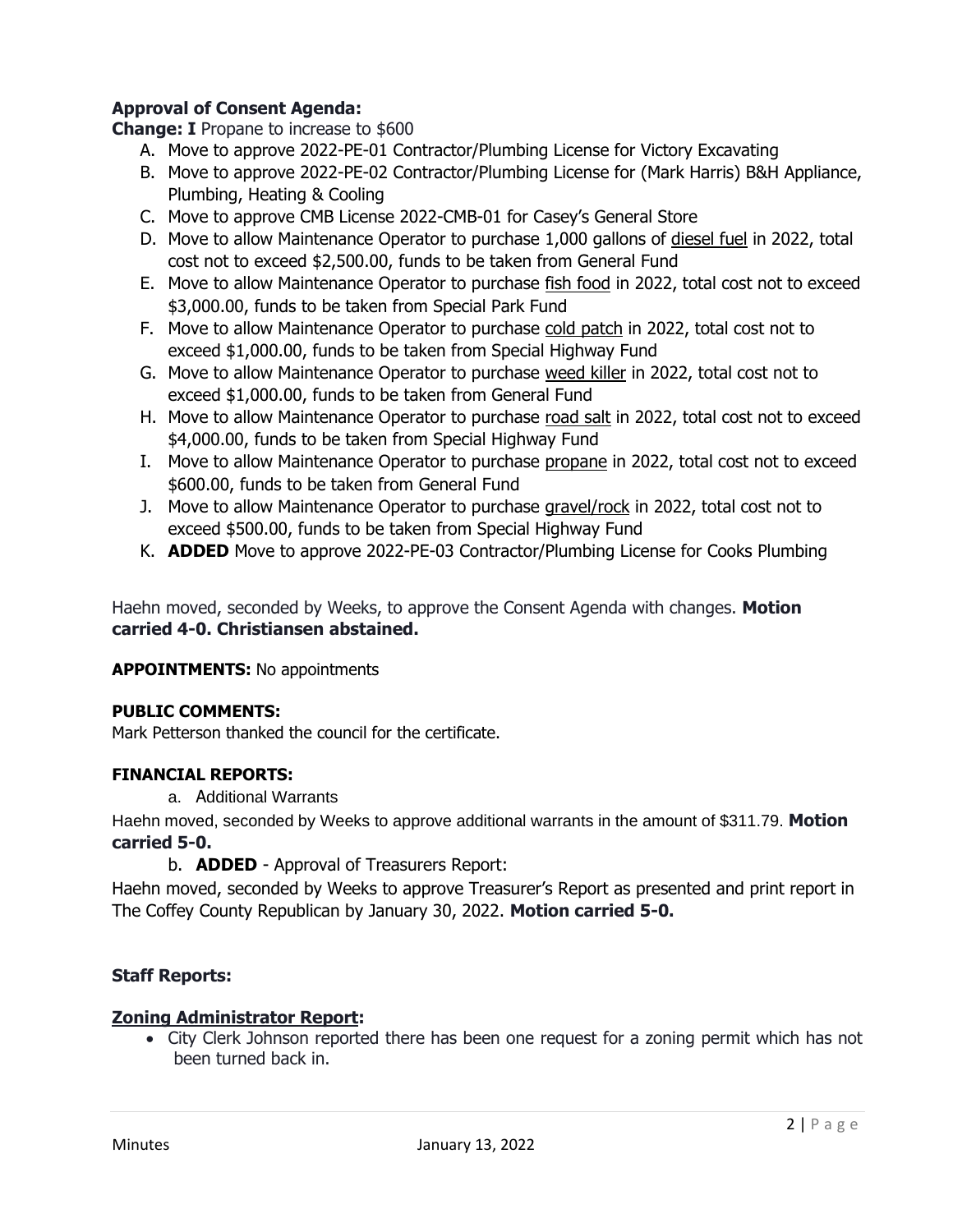# **Approval of Consent Agenda:**

**Change: I** Propane to increase to \$600

- A. Move to approve 2022-PE-01 Contractor/Plumbing License for Victory Excavating
- B. Move to approve 2022-PE-02 Contractor/Plumbing License for (Mark Harris) B&H Appliance, Plumbing, Heating & Cooling
- C. Move to approve CMB License 2022-CMB-01 for Casey's General Store
- D. Move to allow Maintenance Operator to purchase 1,000 gallons of diesel fuel in 2022, total cost not to exceed \$2,500.00, funds to be taken from General Fund
- E. Move to allow Maintenance Operator to purchase fish food in 2022, total cost not to exceed \$3,000.00, funds to be taken from Special Park Fund
- F. Move to allow Maintenance Operator to purchase cold patch in 2022, total cost not to exceed \$1,000.00, funds to be taken from Special Highway Fund
- G. Move to allow Maintenance Operator to purchase weed killer in 2022, total cost not to exceed \$1,000.00, funds to be taken from General Fund
- H. Move to allow Maintenance Operator to purchase road salt in 2022, total cost not to exceed \$4,000.00, funds to be taken from Special Highway Fund
- I. Move to allow Maintenance Operator to purchase propane in 2022, total cost not to exceed \$600.00, funds to be taken from General Fund
- J. Move to allow Maintenance Operator to purchase gravel/rock in 2022, total cost not to exceed \$500.00, funds to be taken from Special Highway Fund
- K. **ADDED** Move to approve 2022-PE-03 Contractor/Plumbing License for Cooks Plumbing

Haehn moved, seconded by Weeks, to approve the Consent Agenda with changes. **Motion carried 4-0. Christiansen abstained.**

# **APPOINTMENTS:** No appointments

# **PUBLIC COMMENTS:**

Mark Petterson thanked the council for the certificate.

# **FINANCIAL REPORTS:**

a. Additional Warrants

Haehn moved, seconded by Weeks to approve additional warrants in the amount of \$311.79. **Motion carried 5-0.**

b. **ADDED** - Approval of Treasurers Report:

Haehn moved, seconded by Weeks to approve Treasurer's Report as presented and print report in The Coffey County Republican by January 30, 2022. **Motion carried 5-0.**

# **Staff Reports:**

# **Zoning Administrator Report:**

• City Clerk Johnson reported there has been one request for a zoning permit which has not been turned back in.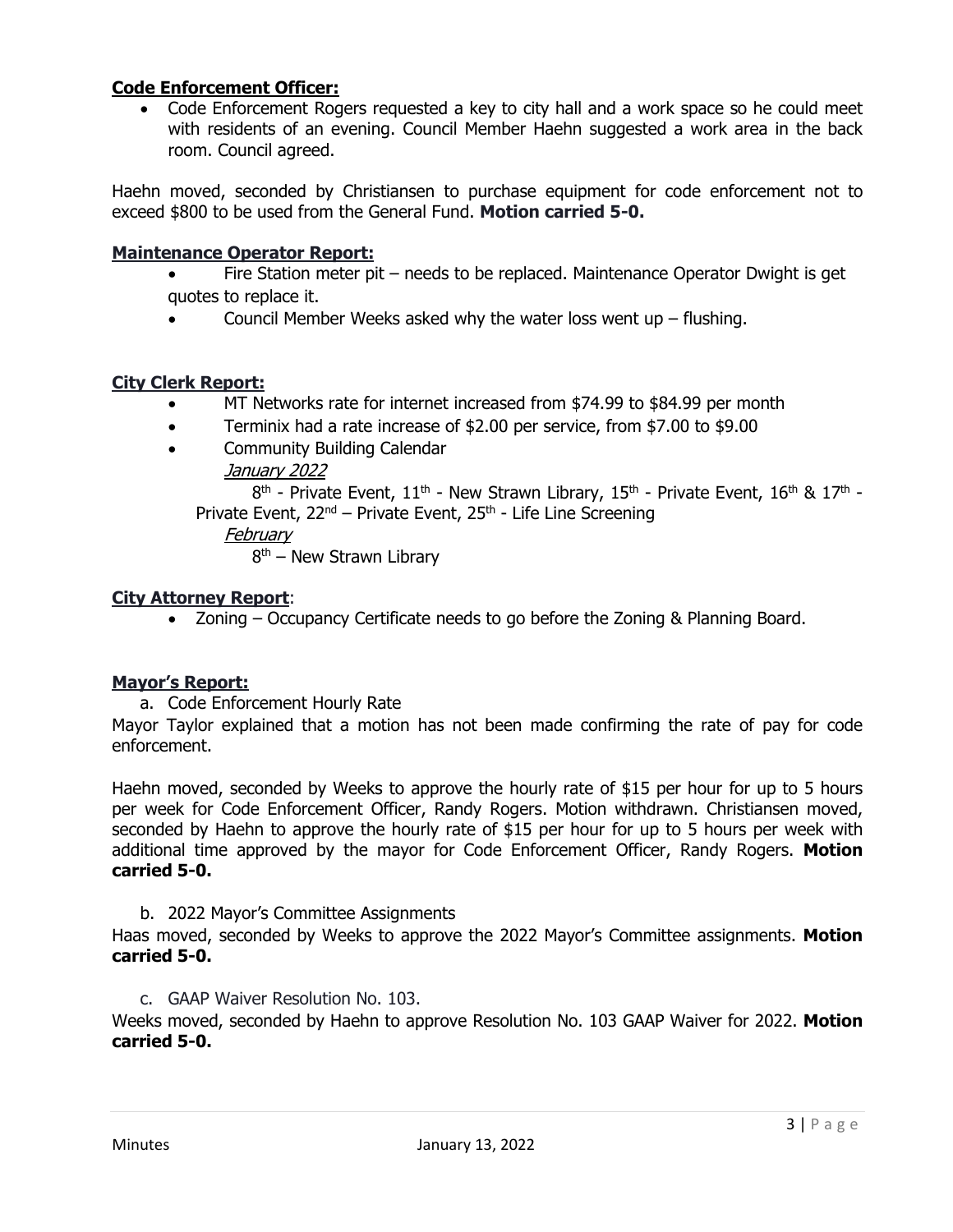# **Code Enforcement Officer:**

• Code Enforcement Rogers requested a key to city hall and a work space so he could meet with residents of an evening. Council Member Haehn suggested a work area in the back room. Council agreed.

Haehn moved, seconded by Christiansen to purchase equipment for code enforcement not to exceed \$800 to be used from the General Fund. **Motion carried 5-0.**

### **Maintenance Operator Report:**

- Fire Station meter pit needs to be replaced. Maintenance Operator Dwight is get quotes to replace it.
- Council Member Weeks asked why the water loss went up  $-$  flushing.

### **City Clerk Report:**

- MT Networks rate for internet increased from \$74.99 to \$84.99 per month
- Terminix had a rate increase of \$2.00 per service, from \$7.00 to \$9.00
- Community Building Calendar January 2022

 $8^{\text{th}}$  - Private Event,  $11^{\text{th}}$  - New Strawn Library,  $15^{\text{th}}$  - Private Event,  $16^{\text{th}}$  &  $17^{\text{th}}$  -Private Event,  $22^{nd}$  – Private Event,  $25^{th}$  - Life Line Screening

February

8<sup>th</sup> – New Strawn Library

#### **City Attorney Report**:

• Zoning – Occupancy Certificate needs to go before the Zoning & Planning Board.

# **Mayor's Report:**

a. Code Enforcement Hourly Rate

Mayor Taylor explained that a motion has not been made confirming the rate of pay for code enforcement.

Haehn moved, seconded by Weeks to approve the hourly rate of \$15 per hour for up to 5 hours per week for Code Enforcement Officer, Randy Rogers. Motion withdrawn. Christiansen moved, seconded by Haehn to approve the hourly rate of \$15 per hour for up to 5 hours per week with additional time approved by the mayor for Code Enforcement Officer, Randy Rogers. **Motion carried 5-0.**

#### b. 2022 Mayor's Committee Assignments

Haas moved, seconded by Weeks to approve the 2022 Mayor's Committee assignments. **Motion carried 5-0.**

c. GAAP Waiver Resolution No. 103.

Weeks moved, seconded by Haehn to approve Resolution No. 103 GAAP Waiver for 2022. **Motion carried 5-0.**